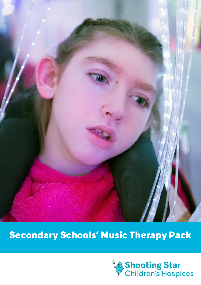

# Secondary Schools' Music Therapy Pack

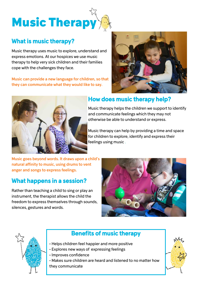

## What is music therapy?

Music therapy uses music to explore, understand and express emotions. At our hospices we use music therapy to help very sick children and their families cope with the challenges they face.

Music can provide a new language for children, so that they can communicate what they would like to say.





### How does music therapy help?

Music therapy helps the children we support to identify and communicate feelings which they may not otherwise be able to understand or express.

Music therapy can help by providing a time and space for children to explore, identify and express their feelings using music .

Music goes beyond words. It draws upon a child's natural affinity to music, using drums to vent anger and songs to express feelings.

### What happens in a session?

Rather than teaching a child to sing or play an instrument, the therapist allows the child the freedom to express themselves through sounds, silences, gestures and words.





## Benefits of music therapy

- Helps children feel happier and more positive
- Explores new ways of expressing feelings
- Improves confidence
- Makes sure children are heard and listened to no matter how they communicate

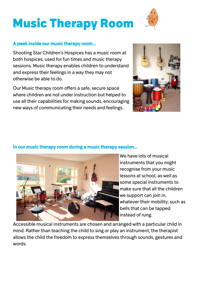# Music Therapy Room

#### A peek inside our music therapy room...

Shooting Star Children's Hospices has a music room at both hospices, used for fun times and music therapy sessions. Music therapy enables children to understand and express their feelings in a way they may not otherwise be able to do.

Our Music therapy room offers a safe, secure space where children are not under instruction but helped to use all their capabilities for making sounds, encouraging new ways of communicating their needs and feelings.



Accessible musical instruments are chosen and arranged with a particular child in mind. Rather than teaching the child to sing or play an instrument, the therapist allows the child the freedom to express themselves through sounds, gestures and words.

#### In our music therapy room during a music therapy session…





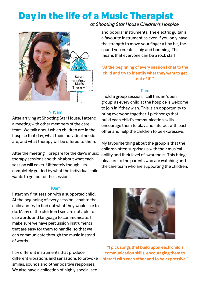# Day in the life of a Music Therapist



#### 9.15am

After arriving at Shooting Star House, I attend a meeting with other members of the care team. We talk about which children are in the hospice that day, what their individual needs are, and what therapy will be offered to them.

After the meeting, I prepare for the day's music therapy sessions and think about what each session will cover. Ultimately though, I'm completely guided by what the individual child wants to get out of the session.

#### *at Shooting Star House Children's Hospice*

and popular instruments. The electric guitar is a favourite instrument as even if you only have the strength to move your finger a tiny bit, the sound you create is big and booming. This means that everyone can be a rock star!

#### "At the beginning of every session I chat to the child and try to identify what they want to get out of it'."

#### 11am

I hold a group session. I call this an 'open group' as every child at the hospice is welcome to join in if they wish. This is an opportunity to bring everyone together. I pick songs that build each child's communication skills, encourage them to play and interact with each other and help the children to be expressive.

My favourite thing about the group is that the children often surprise us with their musical ability and their level of awareness. This brings pleasure to the parents who are watching and the care team who are supporting the children.

#### 10am

I start my first session with a supported child. At the beginning of every session I chat to the child and try to find out what they would like to do. Many of the children I see are not able to use words and language to communicate. I make sure we have percussion instruments that are easy for them to handle, so that we can communicate through the music instead of words.

I try different instruments that produce different vibrations and sensations to provoke smiles, sounds and other positive responses. We also have a collection of highly specialised



"I pick songs that build upon each child's communication skills, encouraging them to interact with each other and to be expressive."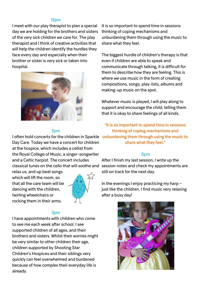#### 12pm

I meet with our play therapist to plan a special day we are holding for the brothers and sisters of the very sick children we care for. The play therapist and I think of creative activities that will help the children identify the hurdles they face every day and especially when their brother or sister is very sick or taken into hospital.



#### 2pm

I often hold concerts for the children in Sparkle unburdening them through using the music to Day Care. Today we have a concert for children at the hospice, which includes a cellist from the Royal College of Music, a singer-songwriter and a Celtic harpist. The concert includes

relax us, and up beat songs which will lift the room, so that all the care team will be dancing with the children, twirling wheelchairs or rocking them in their arms.



#### 3pm

I have appointments with children who come to see me each week after school. I see supported children of all ages, and their brothers and sisters. Whilst their worries might be very similar to other children their age, children supported by Shooting Star Children's Hospices and their siblings very quickly can feel overwhelmed and burdened because of how complex their everyday life is already.

It is so important to spend time in sessions thinking of coping mechanisms and unburdening them through using the music to share what they feel.

The biggest hurdle of children's therapy is that even if children are able to speak and communicate through talking, it is difficult for them to describe how they are feeling. This is where we use music in the form of creating compositions, songs, play-lists, albums and making-up music on the spot.

Whatever music is played, I will play along to support and encourage the child, telling them that it is okay to share feelings of all kinds.

"It is so important to spend time in sessions thinking of coping mechanisms and share what they feel."

#### 5pm

classical tunes on the cello that will soothe and session notes and check my appointments are After I finish my last session, I write up the still on track for the next day.

> In the evenings I enjoy practicing my harp – just like the children, I find music very relaxing after a busy day!

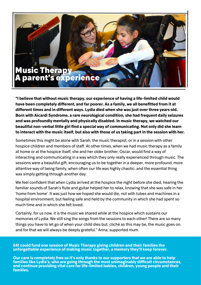# Music Therapy parent's experience

**"I believe that without music therapy, our experience of having a life-limited child would have been completely different, and far poorer. As a family, we all benefitted from it at different times and in different ways. Lydia died when she was just over three years old. Born with Aicardi Syndrome, a rare neurological condition, she had frequent daily seizures and was profoundly mentally and physically disabled. In music therapy, we watched our beautiful non-verbal little girl find a special way of communicating. Not only did she learn to interact with the music itself, but also with those of us taking part in the session with her.** 

Sometimes this might be alone with Sarah, the music therapist, or in a session with other hospice children and members of staff. At other times, when we had music therapy as a family at home or at the hospice itself, she and her older brother, Oscar, would find a way of interacting and communicating in a way which they only really experienced through music. The sessions were a beautiful gift, encouraging us to be together in a deeper, more profound, more attentive way of being family, when often our life was highly chaotic, and the essential thing was simply getting through another day.

We feel confident that when Lydia arrived at the hospice the night before she died, hearing the familiar sounds of Sarah's flute and guitar helped her to relax, knowing that she was safe in her 'home from home'. It was just how we hoped she would die, not with tubes and machines in a hospital environment, but feeling safe and held by the community in which she had spent so much time and in which she felt loved.

Certainly, for us now, it is the music we shared while at the hospice which sustains our memories of Lydia. We still sing the songs from the sessions to each other! There are so many things you have to let go of when your child dies but, cliché as this may be, the music goes on, and for that we will always be deeply grateful." Anna, supported mum.

**£41 could fund one session of Music Therapy giving children and their families the unforgettable experience of making music together, a memory they'll keep forever.** 

**Our care is completely free so it's only thanks to our supporters that we are able to help families like Lydia's, who are going through the most unimaginably difficult circumstances, and continue providing vital care for life-limited babies, children, young people and their families.**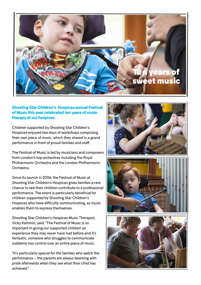

#### Shooting Star Children's Hospices annual Festival of Music this year celebrated ten years of music therapy at our hospices.

Children supported by Shooting Star Children's Hospices enjoyed two days of workshops composing their own piece of music, which they shared in a grand performance in front of proud families and staff.

The Festival of Music is led by musicians and composers from London's top orchestras including the Royal Philharmonic Orchestra and the London Philharmonic Orchestra.

Since its launch in 2006, the Festival of Music at Shooting Star Children's Hospices gives families a rare chance to see their children contribute to a professional performance. The event is particularly beneficial for children supported by Shooting Star Children's Hospices who have difficulty communicating, as music enables them to express themselves.

Shooting Star Children's Hospices Music Therapist, Vicky Kammin, said: "The Festival of Music is so important in giving our supported children an experience they may never have had before and it's fantastic, someone who struggles to communicate suddenly has control over an entire piece of music.

"It's particularly special for the families who watch the performance – the parents are always beaming with pride afterwards when they see what their child has achieved."